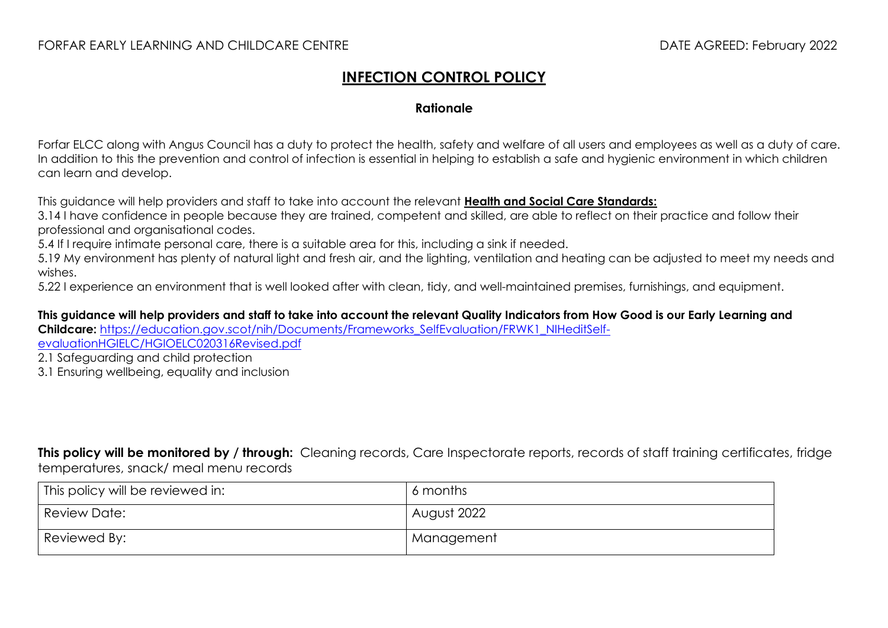## **INFECTION CONTROL POLICY**

## **Rationale**

Forfar ELCC along with Angus Council has a duty to protect the health, safety and welfare of all users and employees as well as a duty of care. In addition to this the prevention and control of infection is essential in helping to establish a safe and hygienic environment in which children can learn and develop.

This guidance will help providers and staff to take into account the relevant **[Health and Social Care Standards:](https://www.gov.scot/binaries/content/documents/govscot/publications/advice-and-guidance/2017/06/health-social-care-standards-support-life/documents/00520693-pdf/00520693-pdf/govscot%3Adocument/00520693.pdf)**

3.14 I have confidence in people because they are trained, competent and skilled, are able to reflect on their practice and follow their professional and organisational codes.

5.4 If I require intimate personal care, there is a suitable area for this, including a sink if needed.

5.19 My environment has plenty of natural light and fresh air, and the lighting, ventilation and heating can be adjusted to meet my needs and wishes.

5.22 I experience an environment that is well looked after with clean, tidy, and well-maintained premises, furnishings, and equipment.

**This guidance will help providers and staff to take into account the relevant Quality Indicators from How Good is our Early Learning and Childcare:** [https://education.gov.scot/nih/Documents/Frameworks\\_SelfEvaluation/FRWK1\\_NIHeditSelf](https://education.gov.scot/nih/Documents/Frameworks_SelfEvaluation/FRWK1_NIHeditSelf-evaluationHGIELC/HGIOELC020316Revised.pdf)[evaluationHGIELC/HGIOELC020316Revised.pdf](https://education.gov.scot/nih/Documents/Frameworks_SelfEvaluation/FRWK1_NIHeditSelf-evaluationHGIELC/HGIOELC020316Revised.pdf)

2.1 Safeguarding and child protection

3.1 Ensuring wellbeing, equality and inclusion

**This policy will be monitored by / through:** Cleaning records, Care Inspectorate reports, records of staff training certificates, fridge temperatures, snack/ meal menu records

| This policy will be reviewed in: | 6 months    |
|----------------------------------|-------------|
| <b>Review Date:</b>              | August 2022 |
| Reviewed By:                     | Management  |